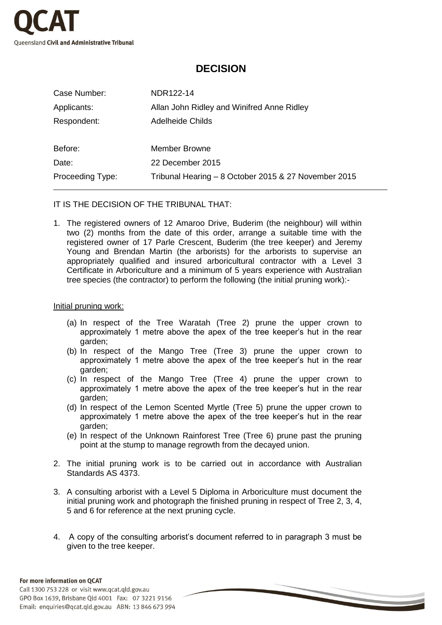

# **DECISION**

| Case Number:     | NDR122-14                                            |
|------------------|------------------------------------------------------|
| Applicants:      | Allan John Ridley and Winifred Anne Ridley           |
| Respondent:      | Adelheide Childs                                     |
|                  |                                                      |
| Before:          | Member Browne                                        |
| Date:            | 22 December 2015                                     |
| Proceeding Type: | Tribunal Hearing - 8 October 2015 & 27 November 2015 |

IT IS THE DECISION OF THE TRIBUNAL THAT:

1. The registered owners of 12 Amaroo Drive, Buderim (the neighbour) will within two (2) months from the date of this order, arrange a suitable time with the registered owner of 17 Parle Crescent, Buderim (the tree keeper) and Jeremy Young and Brendan Martin (the arborists) for the arborists to supervise an appropriately qualified and insured arboricultural contractor with a Level 3 Certificate in Arboriculture and a minimum of 5 years experience with Australian tree species (the contractor) to perform the following (the initial pruning work):-

#### Initial pruning work:

- (a) In respect of the Tree Waratah (Tree 2) prune the upper crown to approximately 1 metre above the apex of the tree keeper's hut in the rear garden;
- (b) In respect of the Mango Tree (Tree 3) prune the upper crown to approximately 1 metre above the apex of the tree keeper's hut in the rear garden;
- (c) In respect of the Mango Tree (Tree 4) prune the upper crown to approximately 1 metre above the apex of the tree keeper's hut in the rear garden;
- (d) In respect of the Lemon Scented Myrtle (Tree 5) prune the upper crown to approximately 1 metre above the apex of the tree keeper's hut in the rear garden;
- (e) In respect of the Unknown Rainforest Tree (Tree 6) prune past the pruning point at the stump to manage regrowth from the decayed union.
- 2. The initial pruning work is to be carried out in accordance with Australian Standards AS 4373.
- 3. A consulting arborist with a Level 5 Diploma in Arboriculture must document the initial pruning work and photograph the finished pruning in respect of Tree 2, 3, 4, 5 and 6 for reference at the next pruning cycle.
- 4. A copy of the consulting arborist's document referred to in paragraph 3 must be given to the tree keeper.

### For more information on QCAT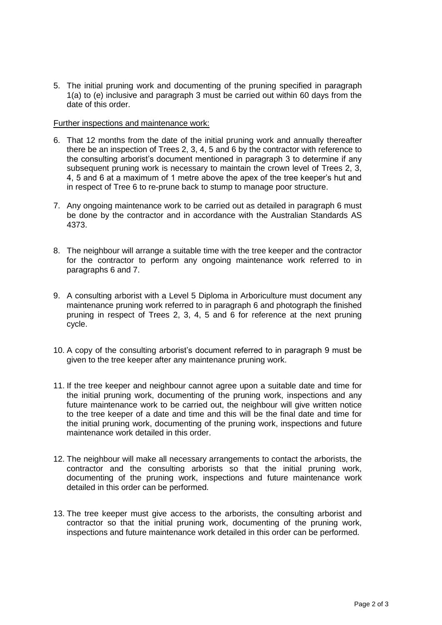5. The initial pruning work and documenting of the pruning specified in paragraph 1(a) to (e) inclusive and paragraph 3 must be carried out within 60 days from the date of this order.

#### Further inspections and maintenance work:

- 6. That 12 months from the date of the initial pruning work and annually thereafter there be an inspection of Trees 2, 3, 4, 5 and 6 by the contractor with reference to the consulting arborist's document mentioned in paragraph 3 to determine if any subsequent pruning work is necessary to maintain the crown level of Trees 2, 3, 4, 5 and 6 at a maximum of 1 metre above the apex of the tree keeper's hut and in respect of Tree 6 to re-prune back to stump to manage poor structure.
- 7. Any ongoing maintenance work to be carried out as detailed in paragraph 6 must be done by the contractor and in accordance with the Australian Standards AS 4373.
- 8. The neighbour will arrange a suitable time with the tree keeper and the contractor for the contractor to perform any ongoing maintenance work referred to in paragraphs 6 and 7.
- 9. A consulting arborist with a Level 5 Diploma in Arboriculture must document any maintenance pruning work referred to in paragraph 6 and photograph the finished pruning in respect of Trees 2, 3, 4, 5 and 6 for reference at the next pruning cycle.
- 10. A copy of the consulting arborist's document referred to in paragraph 9 must be given to the tree keeper after any maintenance pruning work.
- 11. If the tree keeper and neighbour cannot agree upon a suitable date and time for the initial pruning work, documenting of the pruning work, inspections and any future maintenance work to be carried out, the neighbour will give written notice to the tree keeper of a date and time and this will be the final date and time for the initial pruning work, documenting of the pruning work, inspections and future maintenance work detailed in this order.
- 12. The neighbour will make all necessary arrangements to contact the arborists, the contractor and the consulting arborists so that the initial pruning work, documenting of the pruning work, inspections and future maintenance work detailed in this order can be performed.
- 13. The tree keeper must give access to the arborists, the consulting arborist and contractor so that the initial pruning work, documenting of the pruning work, inspections and future maintenance work detailed in this order can be performed.